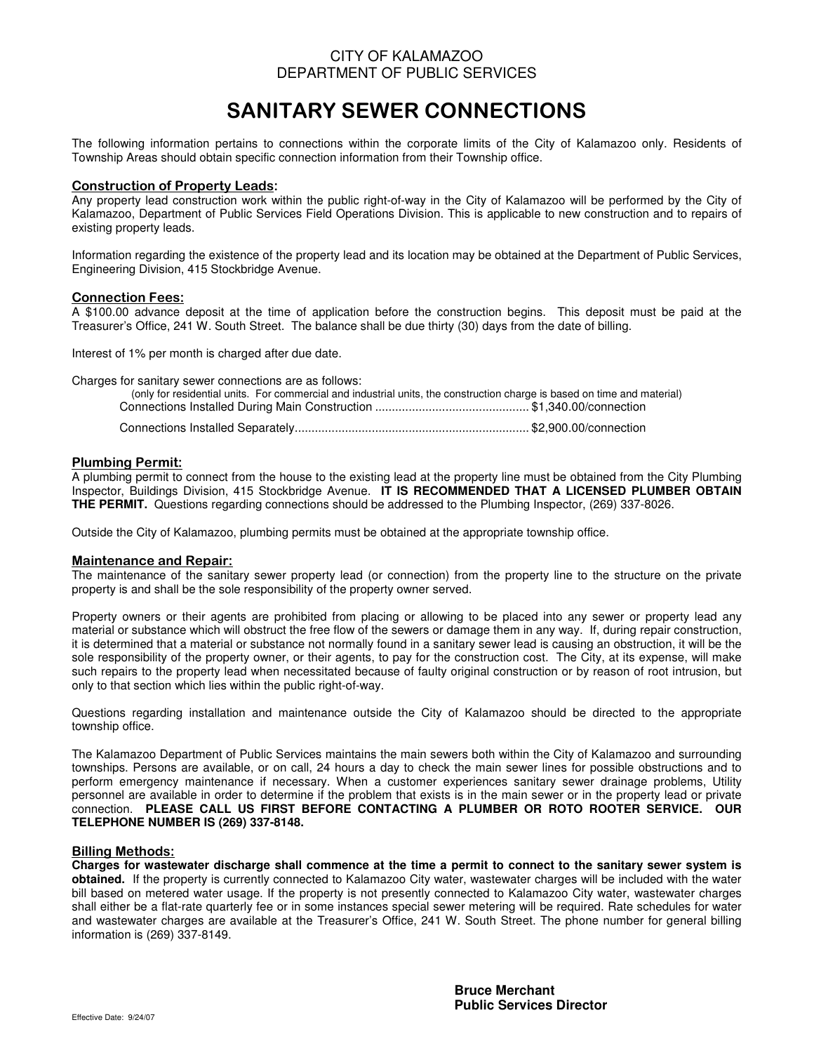### CITY OF KALAMAZOO DEPARTMENT OF PUBLIC SERVICES

# SANITARY SEWER CONNECTIONS

The following information pertains to connections within the corporate limits of the City of Kalamazoo only. Residents of Township Areas should obtain specific connection information from their Township office.

### Construction of Property Leads:

Any property lead construction work within the public right-of-way in the City of Kalamazoo will be performed by the City of Kalamazoo, Department of Public Services Field Operations Division. This is applicable to new construction and to repairs of existing property leads.

Information regarding the existence of the property lead and its location may be obtained at the Department of Public Services, Engineering Division, 415 Stockbridge Avenue.

### Connection Fees:

A \$100.00 advance deposit at the time of application before the construction begins. This deposit must be paid at the Treasurer's Office, 241 W. South Street. The balance shall be due thirty (30) days from the date of billing.

Interest of 1% per month is charged after due date.

Charges for sanitary sewer connections are as follows:

| (only for residential units. For commercial and industrial units, the construction charge is based on time and material) |  |
|--------------------------------------------------------------------------------------------------------------------------|--|
|                                                                                                                          |  |

### Plumbing Permit:

A plumbing permit to connect from the house to the existing lead at the property line must be obtained from the City Plumbing Inspector, Buildings Division, 415 Stockbridge Avenue. **IT IS RECOMMENDED THAT A LICENSED PLUMBER OBTAIN THE PERMIT.** Questions regarding connections should be addressed to the Plumbing Inspector, (269) 337-8026.

Outside the City of Kalamazoo, plumbing permits must be obtained at the appropriate township office.

#### Maintenance and Repair:

The maintenance of the sanitary sewer property lead (or connection) from the property line to the structure on the private property is and shall be the sole responsibility of the property owner served.

Property owners or their agents are prohibited from placing or allowing to be placed into any sewer or property lead any material or substance which will obstruct the free flow of the sewers or damage them in any way. If, during repair construction, it is determined that a material or substance not normally found in a sanitary sewer lead is causing an obstruction, it will be the sole responsibility of the property owner, or their agents, to pay for the construction cost. The City, at its expense, will make such repairs to the property lead when necessitated because of faulty original construction or by reason of root intrusion, but only to that section which lies within the public right-of-way.

Questions regarding installation and maintenance outside the City of Kalamazoo should be directed to the appropriate township office.

The Kalamazoo Department of Public Services maintains the main sewers both within the City of Kalamazoo and surrounding townships. Persons are available, or on call, 24 hours a day to check the main sewer lines for possible obstructions and to perform emergency maintenance if necessary. When a customer experiences sanitary sewer drainage problems, Utility personnel are available in order to determine if the problem that exists is in the main sewer or in the property lead or private connection. **PLEASE CALL US FIRST BEFORE CONTACTING A PLUMBER OR ROTO ROOTER SERVICE. OUR TELEPHONE NUMBER IS (269) 337-8148.**

#### Billing Methods:

**Charges for wastewater discharge shall commence at the time a permit to connect to the sanitary sewer system is obtained.** If the property is currently connected to Kalamazoo City water, wastewater charges will be included with the water bill based on metered water usage. If the property is not presently connected to Kalamazoo City water, wastewater charges shall either be a flat-rate quarterly fee or in some instances special sewer metering will be required. Rate schedules for water and wastewater charges are available at the Treasurer's Office, 241 W. South Street. The phone number for general billing information is (269) 337-8149.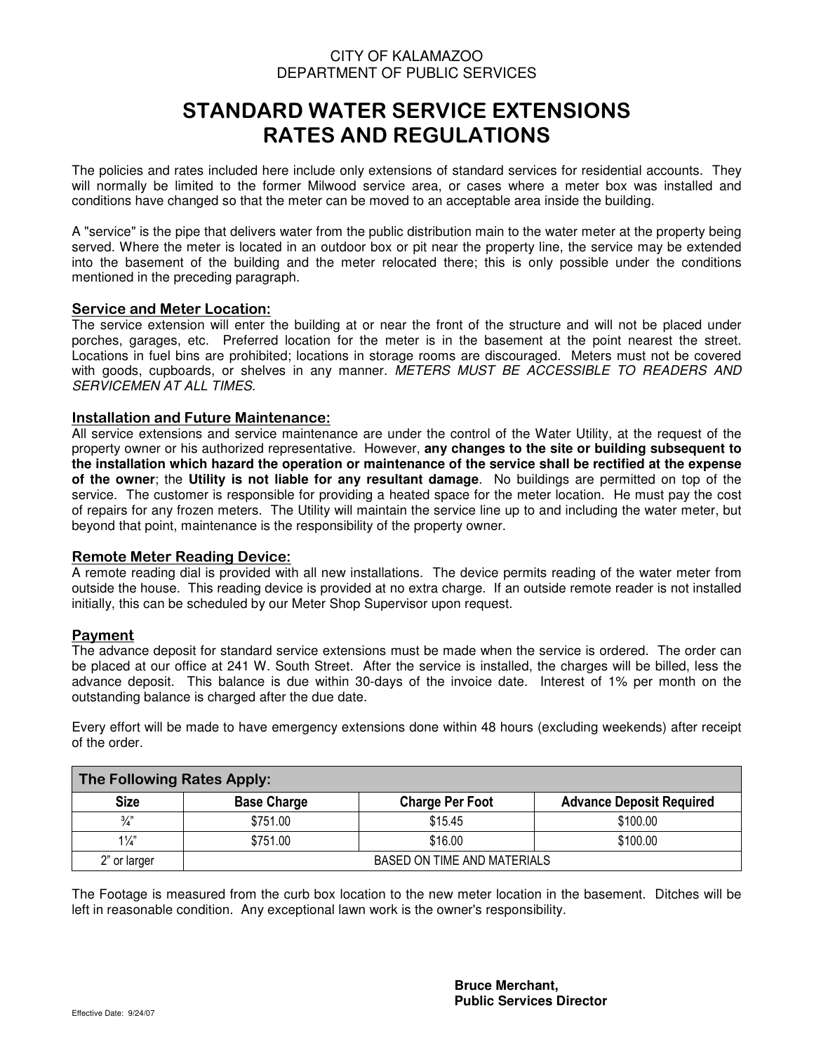## CITY OF KALAMAZOO DEPARTMENT OF PUBLIC SERVICES

## STANDARD WATER SERVICE EXTENSIONS RATES AND REGULATIONS

The policies and rates included here include only extensions of standard services for residential accounts. They will normally be limited to the former Milwood service area, or cases where a meter box was installed and conditions have changed so that the meter can be moved to an acceptable area inside the building.

A "service" is the pipe that delivers water from the public distribution main to the water meter at the property being served. Where the meter is located in an outdoor box or pit near the property line, the service may be extended into the basement of the building and the meter relocated there; this is only possible under the conditions mentioned in the preceding paragraph.

### Service and Meter Location:

The service extension will enter the building at or near the front of the structure and will not be placed under porches, garages, etc. Preferred location for the meter is in the basement at the point nearest the street. Locations in fuel bins are prohibited; locations in storage rooms are discouraged. Meters must not be covered with goods, cupboards, or shelves in any manner. METERS MUST BE ACCESSIBLE TO READERS AND SERVICEMEN AT ALL TIMES.

### Installation and Future Maintenance:

All service extensions and service maintenance are under the control of the Water Utility, at the request of the property owner or his authorized representative. However, **any changes to the site or building subsequent to the installation which hazard the operation or maintenance of the service shall be rectified at the expense of the owner**; the **Utility is not liable for any resultant damage**. No buildings are permitted on top of the service. The customer is responsible for providing a heated space for the meter location. He must pay the cost of repairs for any frozen meters. The Utility will maintain the service line up to and including the water meter, but beyond that point, maintenance is the responsibility of the property owner.

### Remote Meter Reading Device:

A remote reading dial is provided with all new installations. The device permits reading of the water meter from outside the house. This reading device is provided at no extra charge. If an outside remote reader is not installed initially, this can be scheduled by our Meter Shop Supervisor upon request.

### Payment

The advance deposit for standard service extensions must be made when the service is ordered. The order can be placed at our office at 241 W. South Street. After the service is installed, the charges will be billed, less the advance deposit. This balance is due within 30-days of the invoice date. Interest of 1% per month on the outstanding balance is charged after the due date.

Every effort will be made to have emergency extensions done within 48 hours (excluding weekends) after receipt of the order.

| The Following Rates Apply: |                             |                        |                                 |  |  |  |  |  |
|----------------------------|-----------------------------|------------------------|---------------------------------|--|--|--|--|--|
| <b>Size</b>                | <b>Base Charge</b>          | <b>Charge Per Foot</b> | <b>Advance Deposit Required</b> |  |  |  |  |  |
| $\frac{3}{4}$              | \$751.00                    | \$15.45                | \$100.00                        |  |  |  |  |  |
| $1\frac{1}{4}$             | \$751.00                    | \$16.00                | \$100.00                        |  |  |  |  |  |
| 2" or larger               | BASED ON TIME AND MATERIALS |                        |                                 |  |  |  |  |  |

The Footage is measured from the curb box location to the new meter location in the basement. Ditches will be left in reasonable condition. Any exceptional lawn work is the owner's responsibility.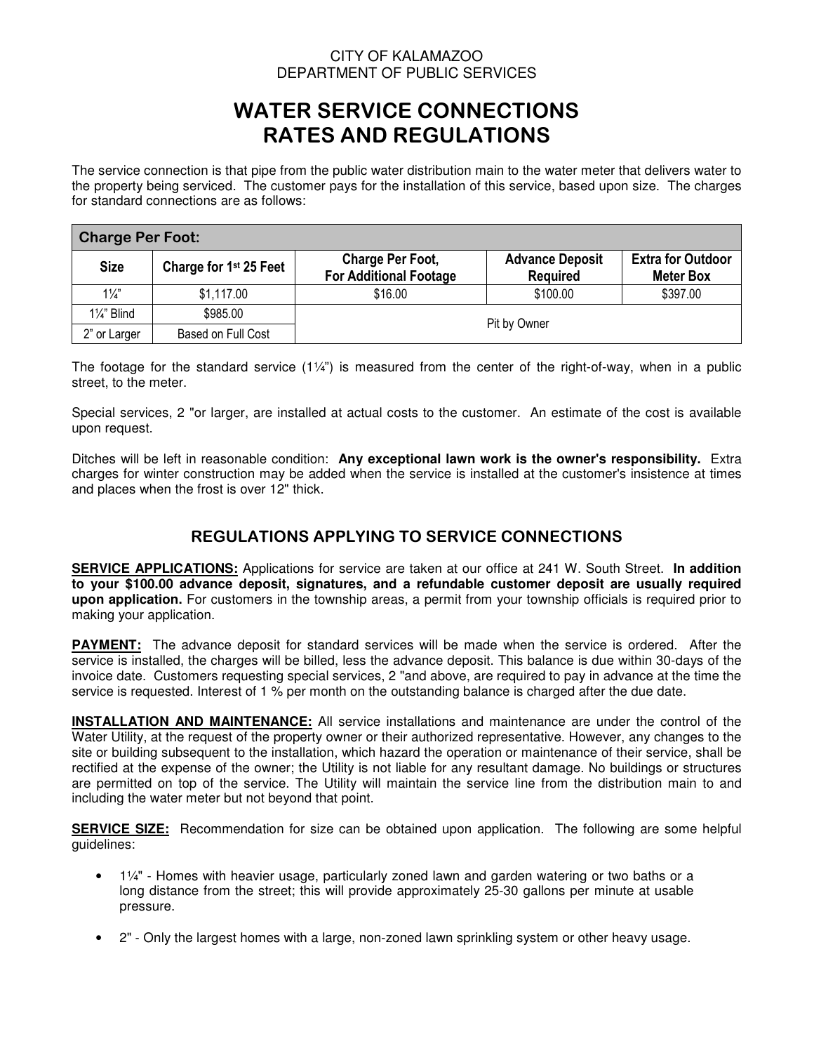## CITY OF KALAMAZOO DEPARTMENT OF PUBLIC SERVICES

## WATER SERVICE CONNECTIONS RATES AND REGULATIONS

The service connection is that pipe from the public water distribution main to the water meter that delivers water to the property being serviced. The customer pays for the installation of this service, based upon size. The charges for standard connections are as follows:

| <b>Charge Per Foot:</b>            |                                    |                                                          |                                           |                                              |  |  |  |  |
|------------------------------------|------------------------------------|----------------------------------------------------------|-------------------------------------------|----------------------------------------------|--|--|--|--|
| <b>Size</b>                        | Charge for 1 <sup>st</sup> 25 Feet | <b>Charge Per Foot,</b><br><b>For Additional Footage</b> | <b>Advance Deposit</b><br><b>Required</b> | <b>Extra for Outdoor</b><br><b>Meter Box</b> |  |  |  |  |
| $1\frac{1}{4}$                     | \$1,117.00                         | \$16.00                                                  | \$100.00                                  | \$397.00                                     |  |  |  |  |
| $1\frac{1}{4}$ " Blind             | \$985.00                           |                                                          |                                           |                                              |  |  |  |  |
| 2" or Larger<br>Based on Full Cost |                                    |                                                          | Pit by Owner                              |                                              |  |  |  |  |

The footage for the standard service  $(1\frac{1}{4})$  is measured from the center of the right-of-way, when in a public street, to the meter.

Special services, 2 "or larger, are installed at actual costs to the customer. An estimate of the cost is available upon request.

Ditches will be left in reasonable condition: **Any exceptional lawn work is the owner's responsibility.** Extra charges for winter construction may be added when the service is installed at the customer's insistence at times and places when the frost is over 12" thick.

## REGULATIONS APPLYING TO SERVICE CONNECTIONS

**SERVICE APPLICATIONS:** Applications for service are taken at our office at 241 W. South Street. **In addition to your \$100.00 advance deposit, signatures, and a refundable customer deposit are usually required upon application.** For customers in the township areas, a permit from your township officials is required prior to making your application.

**PAYMENT:** The advance deposit for standard services will be made when the service is ordered. After the service is installed, the charges will be billed, less the advance deposit. This balance is due within 30-days of the invoice date. Customers requesting special services, 2 "and above, are required to pay in advance at the time the service is requested. Interest of 1 % per month on the outstanding balance is charged after the due date.

**INSTALLATION AND MAINTENANCE:** All service installations and maintenance are under the control of the Water Utility, at the request of the property owner or their authorized representative. However, any changes to the site or building subsequent to the installation, which hazard the operation or maintenance of their service, shall be rectified at the expense of the owner; the Utility is not liable for any resultant damage. No buildings or structures are permitted on top of the service. The Utility will maintain the service line from the distribution main to and including the water meter but not beyond that point.

**SERVICE SIZE:** Recommendation for size can be obtained upon application. The following are some helpful guidelines:

- 1¼" Homes with heavier usage, particularly zoned lawn and garden watering or two baths or a long distance from the street; this will provide approximately 25-30 gallons per minute at usable pressure.
- 2" Only the largest homes with a large, non-zoned lawn sprinkling system or other heavy usage.